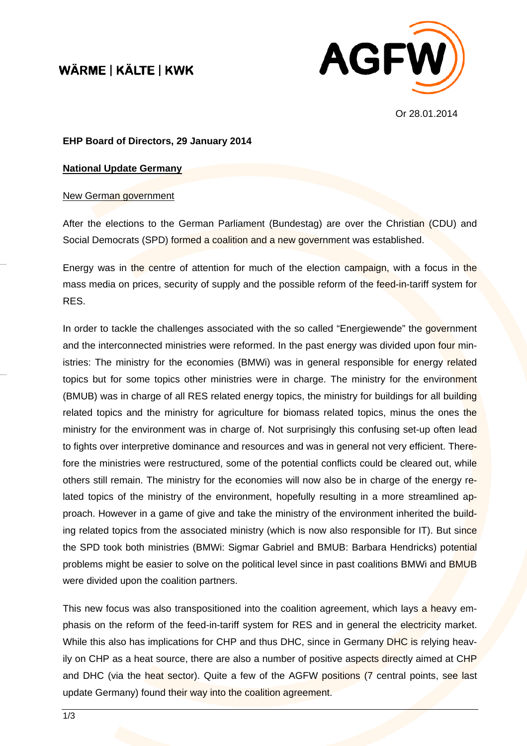## WÄRME | KÄLTE | KWK



Or 28.01.2014

## **EHP Board of Directors, 29 January 2014**

## **National Update Germany**

## New German government

After the elections to the German Parliament (Bundestag) are over the Christian (CDU) and Social Democrats (SPD) formed a coalition and a new government was established.

Energy was in the centre of attention for much of the election campaign, with a focus in the mass media on prices, security of supply and the possible reform of the feed-in-tariff system for RES.

In order to tackle the challenges associated with the so called "Energiewende" the government and the interconnected ministries were reformed. In the past energy was divided upon four ministries: The ministry for the economies (BMWi) was in general responsible for energy related topics but for some topics other ministries were in charge. The ministry for the environment (BMUB) was in charge of all RES related energy topics, the ministry for buildings for all building related topics and the ministry for agriculture for biomass related topics, minus the ones the ministry for the environment was in charge of. Not surprisingly this confusing set-up often lead to fights over interpretive dominance and resources and was in general not very efficient. Therefore the ministries were restructured, some of the potential conflicts could be cleared out, while others still remain. The ministry for the economies will now also be in charge of the energy related topics of the ministry of the environment, hopefully resulting in a more streamlined approach. However in a game of give and take the ministry of the environment inherited the building related topics from the associated ministry (which is now also responsible for IT). But since the SPD took both ministries (BMWi: Sigmar Gabriel and BMUB: Barbara Hendricks) potential problems might be easier to solve on the political level since in past coalitions BMWi and BMUB were divided upon the coalition partners.

This new focus was also transpositioned into the coalition agreement, which lays a heavy emphasis on the reform of the feed-in-tariff system for RES and in general the electricity market. While this also has implications for CHP and thus DHC, since in Germany DHC is relying heavily on CHP as a heat source, there are also a number of positive aspects directly aimed at CHP and DHC (via the heat sector). Quite a few of the AGFW positions (7 central points, see last update Germany) found their way into the coalition agreement.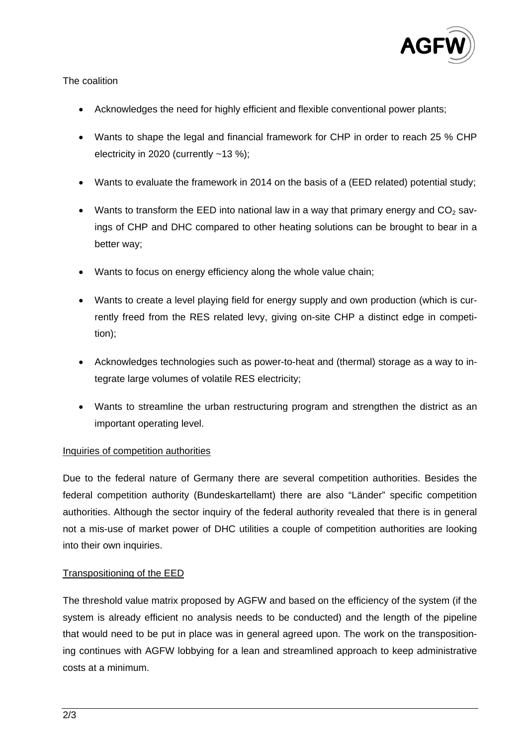

## The coalition

- Acknowledges the need for highly efficient and flexible conventional power plants;
- Wants to shape the legal and financial framework for CHP in order to reach 25 % CHP electricity in 2020 (currently  $~13$  %);
- Wants to evaluate the framework in 2014 on the basis of a (EED related) potential study;
- Wants to transform the EED into national law in a way that primary energy and  $CO<sub>2</sub>$  savings of CHP and DHC compared to other heating solutions can be brought to bear in a better way;
- Wants to focus on energy efficiency along the whole value chain;
- Wants to create a level playing field for energy supply and own production (which is currently freed from the RES related levy, giving on-site CHP a distinct edge in competition);
- Acknowledges technologies such as power-to-heat and (thermal) storage as a way to integrate large volumes of volatile RES electricity;
- Wants to streamline the urban restructuring program and strengthen the district as an important operating level.

## Inquiries of competition authorities

Due to the federal nature of Germany there are several competition authorities. Besides the federal competition authority (Bundeskartellamt) there are also "Länder" specific competition authorities. Although the sector inquiry of the federal authority revealed that there is in general not a mis-use of market power of DHC utilities a couple of competition authorities are looking into their own inquiries.

## Transpositioning of the EED

The threshold value matrix proposed by AGFW and based on the efficiency of the system (if the system is already efficient no analysis needs to be conducted) and the length of the pipeline that would need to be put in place was in general agreed upon. The work on the transpositioning continues with AGFW lobbying for a lean and streamlined approach to keep administrative costs at a minimum.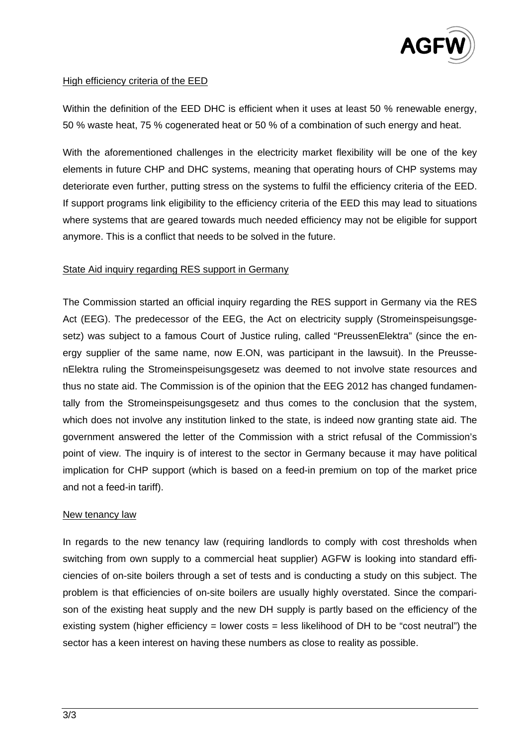

## High efficiency criteria of the EED

Within the definition of the EED DHC is efficient when it uses at least 50 % renewable energy, 50 % waste heat, 75 % cogenerated heat or 50 % of a combination of such energy and heat.

With the aforementioned challenges in the electricity market flexibility will be one of the key elements in future CHP and DHC systems, meaning that operating hours of CHP systems may deteriorate even further, putting stress on the systems to fulfil the efficiency criteria of the EED. If support programs link eligibility to the efficiency criteria of the EED this may lead to situations where systems that are geared towards much needed efficiency may not be eligible for support anymore. This is a conflict that needs to be solved in the future.

## State Aid inquiry regarding RES support in Germany

The Commission started an official inquiry regarding the RES support in Germany via the RES Act (EEG). The predecessor of the EEG, the Act on electricity supply (Stromeinspeisungsgesetz) was subject to a famous Court of Justice ruling, called "PreussenElektra" (since the energy supplier of the same name, now E.ON, was participant in the lawsuit). In the PreussenElektra ruling the Stromeinspeisungsgesetz was deemed to not involve state resources and thus no state aid. The Commission is of the opinion that the EEG 2012 has changed fundamentally from the Stromeinspeisungsgesetz and thus comes to the conclusion that the system, which does not involve any institution linked to the state, is indeed now granting state aid. The government answered the letter of the Commission with a strict refusal of the Commission's point of view. The inquiry is of interest to the sector in Germany because it may have political implication for CHP support (which is based on a feed-in premium on top of the market price and not a feed-in tariff).

## New tenancy law

In regards to the new tenancy law (requiring landlords to comply with cost thresholds when switching from own supply to a commercial heat supplier) AGFW is looking into standard efficiencies of on-site boilers through a set of tests and is conducting a study on this subject. The problem is that efficiencies of on-site boilers are usually highly overstated. Since the comparison of the existing heat supply and the new DH supply is partly based on the efficiency of the existing system (higher efficiency  $=$  lower costs  $=$  less likelihood of DH to be "cost neutral") the sector has a keen interest on having these numbers as close to reality as possible.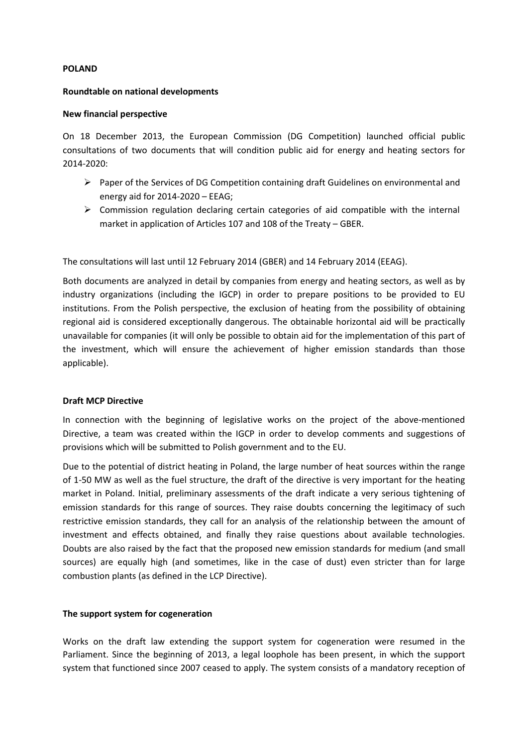#### **POLAND**

#### **Roundtable on national developments**

#### **New financial perspective**

On 18 December 2013, the European Commission (DG Competition) launched official public consultations of two documents that will condition public aid for energy and heating sectors for 2014-2020:

- Paper of the Services of DG Competition containing draft Guidelines on environmental and energy aid for 2014-2020 – EEAG;
- $\triangleright$  Commission regulation declaring certain categories of aid compatible with the internal market in application of Articles 107 and 108 of the Treaty – GBER.

The consultations will last until 12 February 2014 (GBER) and 14 February 2014 (EEAG).

Both documents are analyzed in detail by companies from energy and heating sectors, as well as by industry organizations (including the IGCP) in order to prepare positions to be provided to EU institutions. From the Polish perspective, the exclusion of heating from the possibility of obtaining regional aid is considered exceptionally dangerous. The obtainable horizontal aid will be practically unavailable for companies (it will only be possible to obtain aid for the implementation of this part of the investment, which will ensure the achievement of higher emission standards than those applicable).

#### **Draft MCP Directive**

In connection with the beginning of legislative works on the project of the above-mentioned Directive, a team was created within the IGCP in order to develop comments and suggestions of provisions which will be submitted to Polish government and to the EU.

Due to the potential of district heating in Poland, the large number of heat sources within the range of 1-50 MW as well as the fuel structure, the draft of the directive is very important for the heating market in Poland. Initial, preliminary assessments of the draft indicate a very serious tightening of emission standards for this range of sources. They raise doubts concerning the legitimacy of such restrictive emission standards, they call for an analysis of the relationship between the amount of investment and effects obtained, and finally they raise questions about available technologies. Doubts are also raised by the fact that the proposed new emission standards for medium (and small sources) are equally high (and sometimes, like in the case of dust) even stricter than for large combustion plants (as defined in the LCP Directive).

#### **The support system for cogeneration**

Works on the draft law extending the support system for cogeneration were resumed in the Parliament. Since the beginning of 2013, a legal loophole has been present, in which the support system that functioned since 2007 ceased to apply. The system consists of a mandatory reception of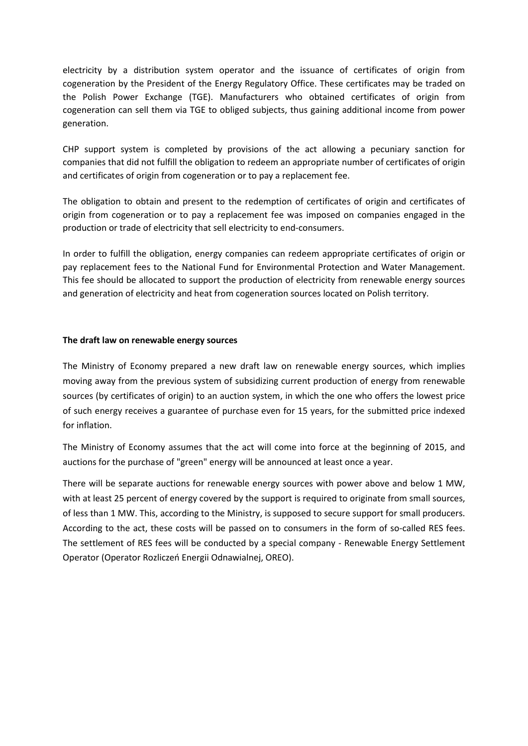electricity by a distribution system operator and the issuance of certificates of origin from cogeneration by the President of the Energy Regulatory Office. These certificates may be traded on the Polish Power Exchange (TGE). Manufacturers who obtained certificates of origin from cogeneration can sell them via TGE to obliged subjects, thus gaining additional income from power generation.

CHP support system is completed by provisions of the act allowing a pecuniary sanction for companies that did not fulfill the obligation to redeem an appropriate number of certificates of origin and certificates of origin from cogeneration or to pay a replacement fee.

The obligation to obtain and present to the redemption of certificates of origin and certificates of origin from cogeneration or to pay a replacement fee was imposed on companies engaged in the production or trade of electricity that sell electricity to end-consumers.

In order to fulfill the obligation, energy companies can redeem appropriate certificates of origin or pay replacement fees to the National Fund for Environmental Protection and Water Management. This fee should be allocated to support the production of electricity from renewable energy sources and generation of electricity and heat from cogeneration sources located on Polish territory.

#### **The draft law on renewable energy sources**

The Ministry of Economy prepared a new draft law on renewable energy sources, which implies moving away from the previous system of subsidizing current production of energy from renewable sources (by certificates of origin) to an auction system, in which the one who offers the lowest price of such energy receives a guarantee of purchase even for 15 years, for the submitted price indexed for inflation.

The Ministry of Economy assumes that the act will come into force at the beginning of 2015, and auctions for the purchase of "green" energy will be announced at least once a year.

There will be separate auctions for renewable energy sources with power above and below 1 MW, with at least 25 percent of energy covered by the support is required to originate from small sources, of less than 1 MW. This, according to the Ministry, is supposed to secure support for small producers. According to the act, these costs will be passed on to consumers in the form of so-called RES fees. The settlement of RES fees will be conducted by a special company - Renewable Energy Settlement Operator (Operator Rozliczeń Energii Odnawialnej, OREO).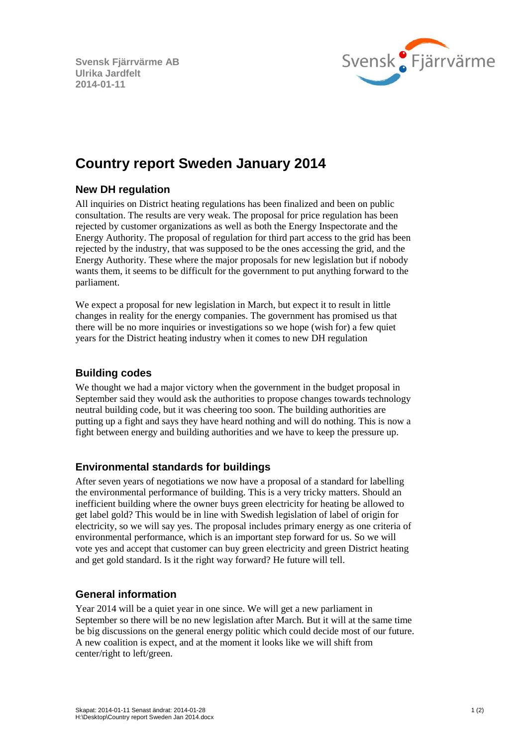**Svensk Fjärrvärme AB Ulrika Jardfelt 2014-01-11**



# **Country report Sweden January 2014**

## **New DH regulation**

All inquiries on District heating regulations has been finalized and been on public consultation. The results are very weak. The proposal for price regulation has been rejected by customer organizations as well as both the Energy Inspectorate and the Energy Authority. The proposal of regulation for third part access to the grid has been rejected by the industry, that was supposed to be the ones accessing the grid, and the Energy Authority. These where the major proposals for new legislation but if nobody wants them, it seems to be difficult for the government to put anything forward to the parliament.

We expect a proposal for new legislation in March, but expect it to result in little changes in reality for the energy companies. The government has promised us that there will be no more inquiries or investigations so we hope (wish for) a few quiet years for the District heating industry when it comes to new DH regulation

## **Building codes**

We thought we had a major victory when the government in the budget proposal in September said they would ask the authorities to propose changes towards technology neutral building code, but it was cheering too soon. The building authorities are putting up a fight and says they have heard nothing and will do nothing. This is now a fight between energy and building authorities and we have to keep the pressure up.

## **Environmental standards for buildings**

After seven years of negotiations we now have a proposal of a standard for labelling the environmental performance of building. This is a very tricky matters. Should an inefficient building where the owner buys green electricity for heating be allowed to get label gold? This would be in line with Swedish legislation of label of origin for electricity, so we will say yes. The proposal includes primary energy as one criteria of environmental performance, which is an important step forward for us. So we will vote yes and accept that customer can buy green electricity and green District heating and get gold standard. Is it the right way forward? He future will tell.

## **General information**

Year 2014 will be a quiet year in one since. We will get a new parliament in September so there will be no new legislation after March. But it will at the same time be big discussions on the general energy politic which could decide most of our future. A new coalition is expect, and at the moment it looks like we will shift from center/right to left/green.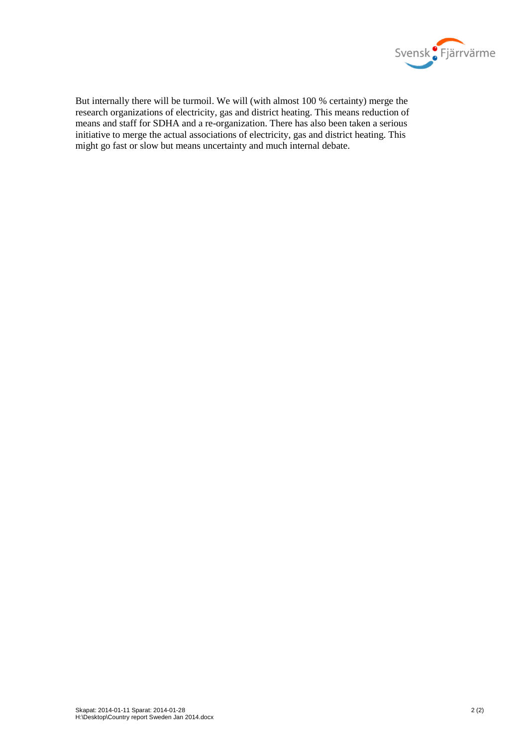

But internally there will be turmoil. We will (with almost 100 % certainty) merge the research organizations of electricity, gas and district heating. This means reduction of means and staff for SDHA and a re-organization. There has also been taken a serious initiative to merge the actual associations of electricity, gas and district heating. This might go fast or slow but means uncertainty and much internal debate.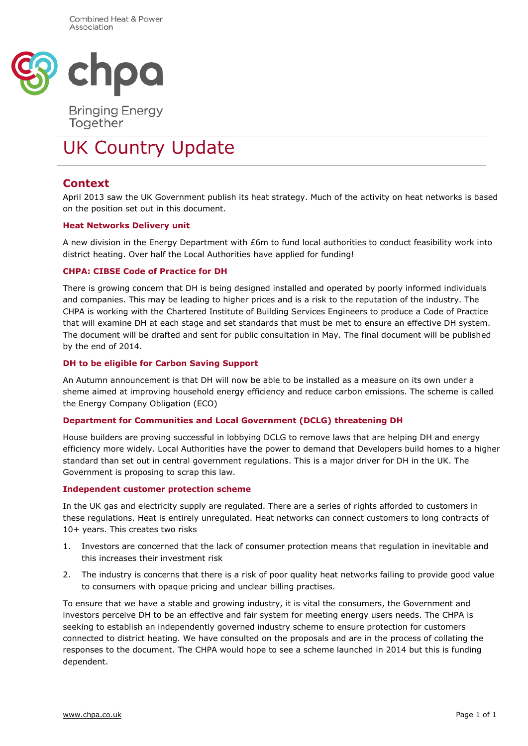

**Bringing Energy** Together

# UK Country Update

## **Context**

April 2013 saw the UK Government publish its heat strategy. Much of the activity on heat networks is based on the position set out in this document.

#### **Heat Networks Delivery unit**

A new division in the Energy Department with £6m to fund local authorities to conduct feasibility work into district heating. Over half the Local Authorities have applied for funding!

#### **CHPA: CIBSE Code of Practice for DH**

There is growing concern that DH is being designed installed and operated by poorly informed individuals and companies. This may be leading to higher prices and is a risk to the reputation of the industry. The CHPA is working with the Chartered Institute of Building Services Engineers to produce a Code of Practice that will examine DH at each stage and set standards that must be met to ensure an effective DH system. The document will be drafted and sent for public consultation in May. The final document will be published by the end of 2014.

#### **DH to be eligible for Carbon Saving Support**

An Autumn announcement is that DH will now be able to be installed as a measure on its own under a sheme aimed at improving household energy efficiency and reduce carbon emissions. The scheme is called the Energy Company Obligation (ECO)

#### **Department for Communities and Local Government (DCLG) threatening DH**

House builders are proving successful in lobbying DCLG to remove laws that are helping DH and energy efficiency more widely. Local Authorities have the power to demand that Developers build homes to a higher standard than set out in central government regulations. This is a major driver for DH in the UK. The Government is proposing to scrap this law.

#### **Independent customer protection scheme**

In the UK gas and electricity supply are regulated. There are a series of rights afforded to customers in these regulations. Heat is entirely unregulated. Heat networks can connect customers to long contracts of 10+ years. This creates two risks

- 1. Investors are concerned that the lack of consumer protection means that regulation in inevitable and this increases their investment risk
- 2. The industry is concerns that there is a risk of poor quality heat networks failing to provide good value to consumers with opaque pricing and unclear billing practises.

To ensure that we have a stable and growing industry, it is vital the consumers, the Government and investors perceive DH to be an effective and fair system for meeting energy users needs. The CHPA is seeking to establish an independently governed industry scheme to ensure protection for customers connected to district heating. We have consulted on the proposals and are in the process of collating the responses to the document. The CHPA would hope to see a scheme launched in 2014 but this is funding dependent.